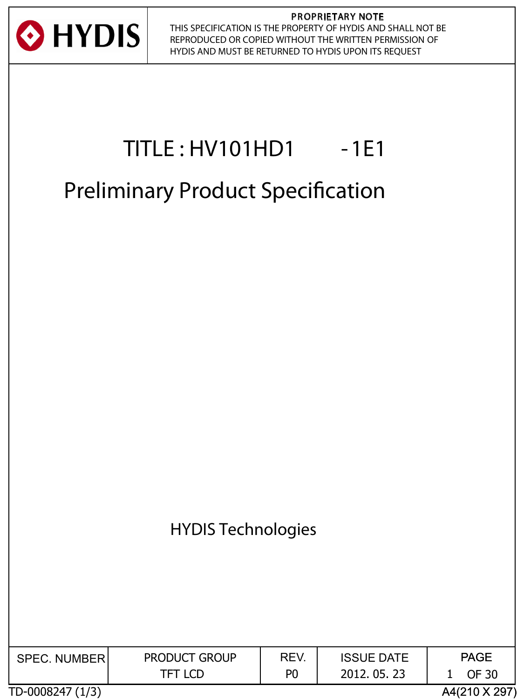

#### PROPRIETARY NOTE THIS SPECIFICATION IS THE PROPERTY OF HYDIS AND SHALL NOT BE REPRODUCED OR COPIED WITHOUT THE WRITTEN PERMISSION OF HYDIS AND MUST BE RETURNED TO HYDIS UPON ITS REQUEST

# **TITLE : HV101HD1 -1E1**

# **Preliminary Product Specifcation**



| <b>SPEC. NUMBER</b> | <b>PRODUCT GROUP</b> | REV. | <b>ISSUE DATE</b> | <b>PAGE</b>   |
|---------------------|----------------------|------|-------------------|---------------|
|                     | <b>TFT LCD</b>       | P0   | 2012.05.23        | <b>OF 30</b>  |
| TD-0008247 (1/3)    |                      |      |                   | A4(210 X 297) |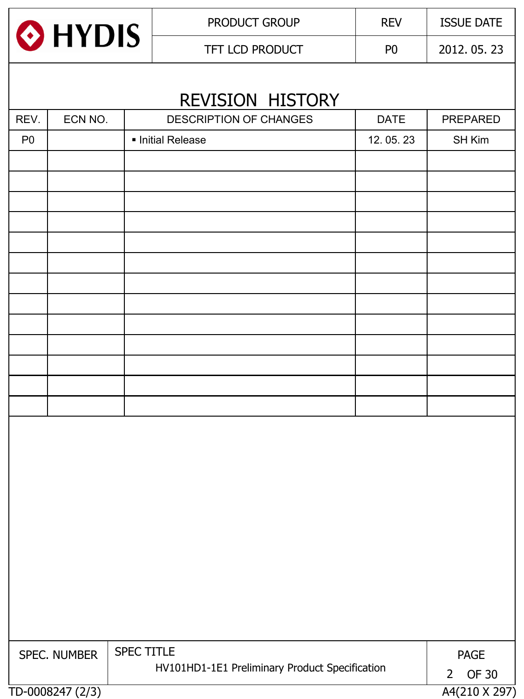

PRODUCT GROUP REV | ISSUE DATE

TFT LCD PRODUCT P0 2012. 05. 23

| REV.           | ECN NO.      | DESCRIPTION OF CHANGES                                       | <b>DATE</b> | PREPARED    |  |
|----------------|--------------|--------------------------------------------------------------|-------------|-------------|--|
| P <sub>0</sub> |              | Initial Release                                              | 12.05.23    | SH Kim      |  |
|                |              |                                                              |             |             |  |
|                |              |                                                              |             |             |  |
|                |              |                                                              |             |             |  |
|                |              |                                                              |             |             |  |
|                |              |                                                              |             |             |  |
|                |              |                                                              |             |             |  |
|                |              |                                                              |             |             |  |
|                |              |                                                              |             |             |  |
|                |              |                                                              |             |             |  |
|                |              |                                                              |             |             |  |
|                |              |                                                              |             |             |  |
|                |              |                                                              |             |             |  |
|                |              |                                                              |             |             |  |
|                |              |                                                              |             |             |  |
|                |              |                                                              |             |             |  |
|                |              |                                                              |             |             |  |
|                |              |                                                              |             |             |  |
|                |              |                                                              |             |             |  |
|                |              |                                                              |             |             |  |
|                |              |                                                              |             |             |  |
|                |              |                                                              |             |             |  |
|                |              |                                                              |             |             |  |
|                |              |                                                              |             |             |  |
|                |              |                                                              |             |             |  |
|                |              |                                                              |             |             |  |
|                |              |                                                              |             |             |  |
|                | SPEC. NUMBER | SPEC TITLE<br>HV101HD1-1E1 Preliminary Product Specification |             | <b>PAGE</b> |  |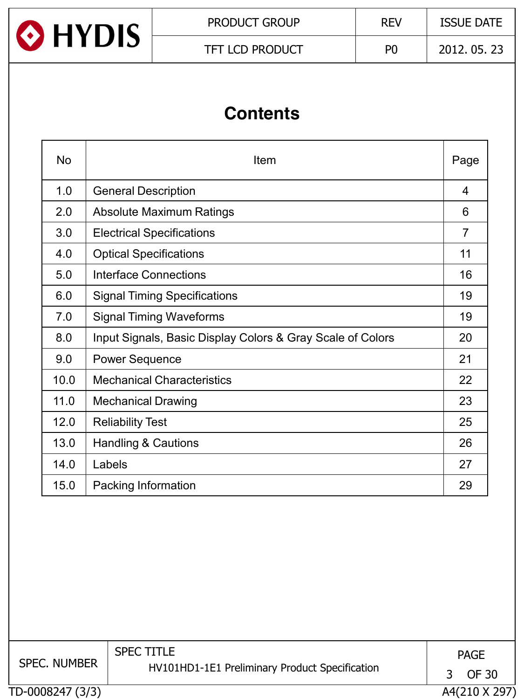

# **Contents**

| <b>No</b> | Item                                                       | Page           |
|-----------|------------------------------------------------------------|----------------|
| 1.0       | <b>General Description</b>                                 | 4              |
| 2.0       | <b>Absolute Maximum Ratings</b>                            | 6              |
| 3.0       | <b>Electrical Specifications</b>                           | $\overline{7}$ |
| 4.0       | <b>Optical Specifications</b>                              | 11             |
| 5.0       | Interface Connections                                      | 16             |
| 6.0       | <b>Signal Timing Specifications</b>                        | 19             |
| 7.0       | <b>Signal Timing Waveforms</b>                             | 19             |
| 8.0       | Input Signals, Basic Display Colors & Gray Scale of Colors | 20             |
| 9.0       | <b>Power Sequence</b>                                      | 21             |
| 10.0      | <b>Mechanical Characteristics</b>                          | 22             |
| 11.0      | <b>Mechanical Drawing</b>                                  | 23             |
| 12.0      | <b>Reliability Test</b>                                    | 25             |
| 13.0      | <b>Handling &amp; Cautions</b>                             | 26             |
| 14.0      | Labels                                                     | 27             |
| 15.0      | Packing Information                                        | 29             |

TD-0008247 (3/3) A4(210 X 297) SPEC. NUMBER SPEC TITLE HV101HD1-1E1 Preliminary Product Specification PAGE 3 OF 30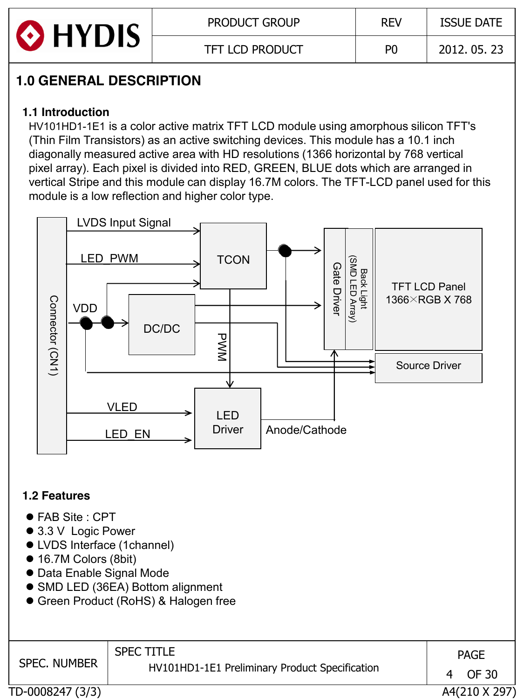

# **1.0 GENERAL DESCRIPTION**

### **1.1 Introduction**

 HV101HD1-1E1 is a color active matrix TFT LCD module using amorphous silicon TFT's (Thin Film Transistors) as an active switching devices. This module has a 10.1 inch diagonally measured active area with HD resolutions (1366 horizontal by 768 vertical pixel array). Each pixel is divided into RED, GREEN, BLUE dots which are arranged in vertical Stripe and this module can display 16.7M colors. The TFT-LCD panel used for this module is a low reflection and higher color type.



### **1.2 Features**

- FAB Site : CPT
- 3.3 V Logic Power
- **LVDS Interface (1channel)**
- 16.7M Colors (8bit)
- Data Enable Signal Mode
- SMD LED (36EA) Bottom alignment
- **Green Product (RoHS) & Halogen free**

| <b>SPEC. NUMBER</b> | <b>SPEC TITLE</b><br>HV101HD1-1E1 Preliminary Product Specification | 4 | <b>PAGE</b><br>OF 30 |
|---------------------|---------------------------------------------------------------------|---|----------------------|
| TD-0008247 (3/3)    |                                                                     |   | A4(210 X 297)        |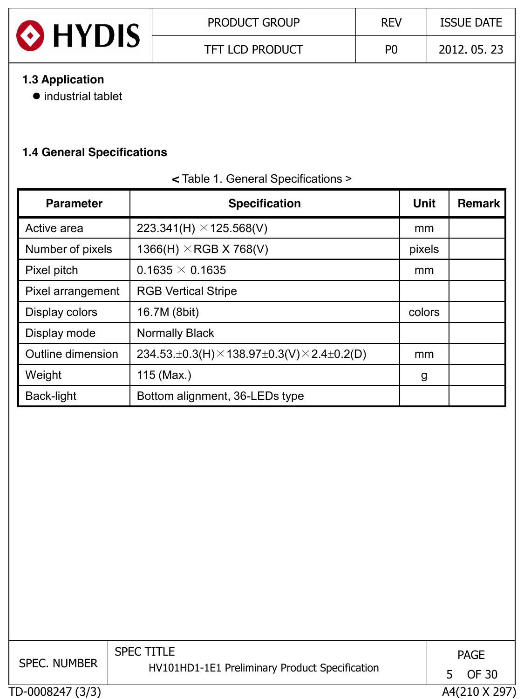

TFT LCD PRODUCT P0 2012. 05. 23

### **1.3 Application**

 $\bullet$  industrial tablet

### **1.4 General Specifications**

| <b>Parameter</b>  | <b>Specification</b>                                                        | <b>Unit</b> | <b>Remark</b> |
|-------------------|-----------------------------------------------------------------------------|-------------|---------------|
| Active area       | 223.341(H) $\times$ 125.568(V)                                              | mm          |               |
| Number of pixels  | 1366(H) $\times$ RGB X 768(V)                                               | pixels      |               |
| Pixel pitch       | $0.1635 \times 0.1635$                                                      | mm          |               |
| Pixel arrangement | <b>RGB Vertical Stripe</b>                                                  |             |               |
| Display colors    | 16.7M (8bit)                                                                | colors      |               |
| Display mode      | <b>Normally Black</b>                                                       |             |               |
| Outline dimension | 234.53. $\pm$ 0.3(H) $\times$ 138.97 $\pm$ 0.3(V) $\times$ 2.4 $\pm$ 0.2(D) | mm          |               |
| Weight            | 115 (Max.)                                                                  | g           |               |
| Back-light        | Bottom alignment, 36-LEDs type                                              |             |               |

#### **<** Table 1. General Specifications >

TD-0008247 (3/3) A4(210 X 297) SPEC. NUMBER SPEC TITLE HV101HD1-1E1 Preliminary Product Specification PAGE 5 OF 30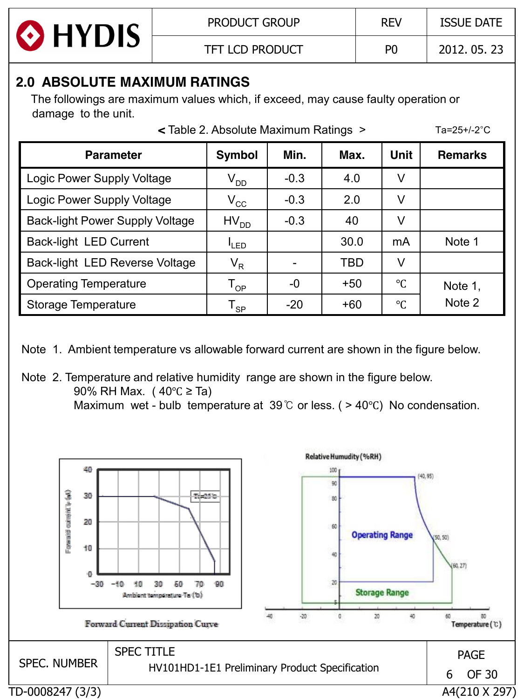

# **2.0 ABSOLUTE MAXIMUM RATINGS**

 The followings are maximum values which, if exceed, may cause faulty operation or damage to the unit.

|                                        | < Table 2. Absolute Maximum Ratings > |        |            |                 | Ta=25+/-2 $^{\circ}$ C |
|----------------------------------------|---------------------------------------|--------|------------|-----------------|------------------------|
| <b>Parameter</b>                       | <b>Symbol</b>                         | Min.   | Max.       | <b>Unit</b>     | <b>Remarks</b>         |
| Logic Power Supply Voltage             | $\rm V_{DD}$                          | $-0.3$ | 4.0        | V               |                        |
| Logic Power Supply Voltage             | $V_{\rm CC}$                          | $-0.3$ | 2.0        | V               |                        |
| <b>Back-light Power Supply Voltage</b> | $HV_{DD}$                             | $-0.3$ | 40         | V               |                        |
| <b>Back-light LED Current</b>          | <sup>I</sup> LED                      |        | 30.0       | mA              | Note 1                 |
| Back-light LED Reverse Voltage         | $V_R$                                 |        | <b>TBD</b> | V               |                        |
| <b>Operating Temperature</b>           | $\mathsf{T}_{\mathsf{OP}}$            | -0     | $+50$      | $\rm ^{\circ}C$ | Note 1,                |
| Storage Temperature                    | $\mathsf{T}_{\mathsf{SP}}$            | $-20$  | $+60$      | $\rm ^{\circ}C$ | Note 2                 |

Note 1. Ambient temperature vs allowable forward current are shown in the figure below.

Note 2. Temperature and relative humidity range are shown in the figure below. 90% RH Max. ( 40℃ ≥ Ta)

Maximum wet - bulb temperature at 39℃ or less. ( > 40℃) No condensation.

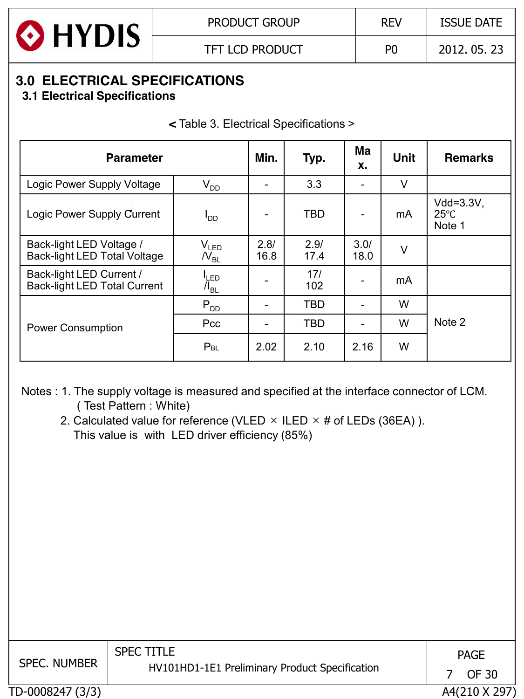

# **3.0 ELECTRICAL SPECIFICATIONS**

 **3.1 Electrical Specifications**

**<** Table 3. Electrical Specifications >

| <b>Parameter</b>                                                |                                        | Min.         | Typ.         | Ma<br>X.     | <b>Unit</b> | <b>Remarks</b>                             |
|-----------------------------------------------------------------|----------------------------------------|--------------|--------------|--------------|-------------|--------------------------------------------|
| Logic Power Supply Voltage                                      | $V_{DD}$                               | -            | 3.3          | ۰            | V           |                                            |
| Logic Power Supply Current                                      | <sup>I</sup> DD                        |              | <b>TBD</b>   | -            | mA          | $Vdd = 3.3V$ ,<br>$25^{\circ}$ C<br>Note 1 |
| Back-light LED Voltage /<br><b>Back-light LED Total Voltage</b> | $V_{LED}$<br>$N_{\rm BL}$              | 2.8/<br>16.8 | 2.9/<br>17.4 | 3.0/<br>18.0 | V           |                                            |
| Back-light LED Current /<br><b>Back-light LED Total Current</b> | <sup>I</sup> LED<br>$\mathcal{N}_{BL}$ |              | 17/<br>102   |              | mA          |                                            |
|                                                                 | $P_{DD}$                               |              | <b>TBD</b>   | ۰            | W           |                                            |
| <b>Power Consumption</b>                                        | Pcc                                    |              | <b>TBD</b>   | ۰            | W           | Note 2                                     |
|                                                                 | $P_{BL}$                               | 2.02         | 2.10         | 2.16         | W           |                                            |

Notes : 1. The supply voltage is measured and specified at the interface connector of LCM. ( Test Pattern : White)

2. Calculated value for reference (VLED  $\times$  ILED  $\times$  # of LEDs (36EA)). This value is with LED driver efficiency (85%)

| <b>SPEC. NUMBER</b> | <b>SPEC TITLE</b><br>HV101HD1-1E1 Preliminary Product Specification | <b>PAGE</b><br>OF 30 |
|---------------------|---------------------------------------------------------------------|----------------------|
| TD-0008247 (3/3)    |                                                                     | A4(210 X 297)        |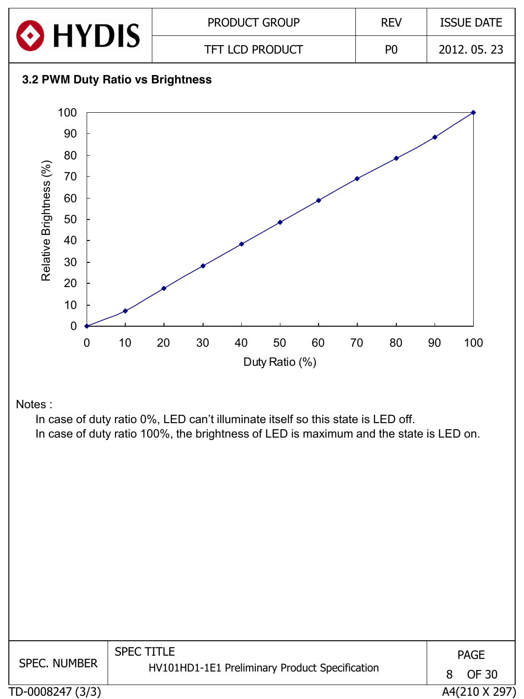

| <b>SPEC. NUMBER</b> | <b>SPEC TITLE</b><br>HV101HD1-1E1 Preliminary Product Specification | 8 | <b>PAGE</b><br>OF 30 |
|---------------------|---------------------------------------------------------------------|---|----------------------|
| TD-0008247 (3/3)    |                                                                     |   | A4(210 X 297)        |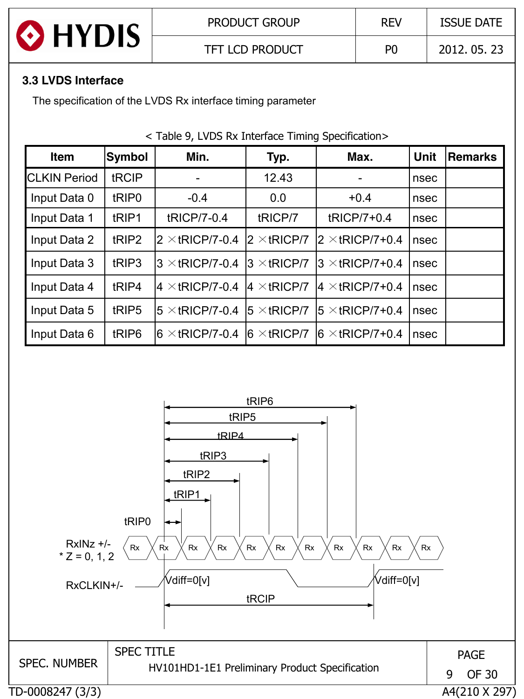

#### **3.3 LVDS Interface**

The specification of the LVDS Rx interface timing parameter

#### < Table 9, LVDS Rx Interface Timing Specification>

| <b>Item</b>         | Symbol            | Min.                    | Typ.                 | Max.                    | <b>Unit</b> | <b>Remarks</b> |
|---------------------|-------------------|-------------------------|----------------------|-------------------------|-------------|----------------|
| <b>CLKIN Period</b> | tRCIP             |                         | 12.43                |                         | nsec        |                |
| Input Data 0        | tRIP <sub>0</sub> | $-0.4$                  | 0.0                  | $+0.4$                  | nsec        |                |
| Input Data 1        | tRIP1             | tRICP/7-0.4             | tRICP/7              | tRICP/7+0.4             | nsec        |                |
| Input Data 2        | tRIP2             | $2 \times$ tRICP/7-0.4  | $2 \times$ tRICP/7   | $2 \times$ tRICP/7+0.4  | nsec        |                |
| Input Data 3        | tRIP3             | $3 \times$ tRICP/7-0.4  | $3 \times$ tRICP/7   | $3 \times$ tRICP/7+0.4  | nsec        |                |
| Input Data 4        | tRIP4             | $4 \times$ tRICP/7-0.4  | $4 \times$ tRICP/7   | $ 4 \times$ tRICP/7+0.4 | nsec        |                |
| Input Data 5        | tRIP <sub>5</sub> | $5 \times$ tRICP/7-0.4  | $15 \times tRICP/7$  | $15 \times$ tRICP/7+0.4 | nsec        |                |
| Input Data 6        | tRIP <sub>6</sub> | $ 6 \times$ tRICP/7-0.4 | $ 6 \times tRICP/7 $ | $6 \times$ tRICP/7+0.4  | nsec        |                |

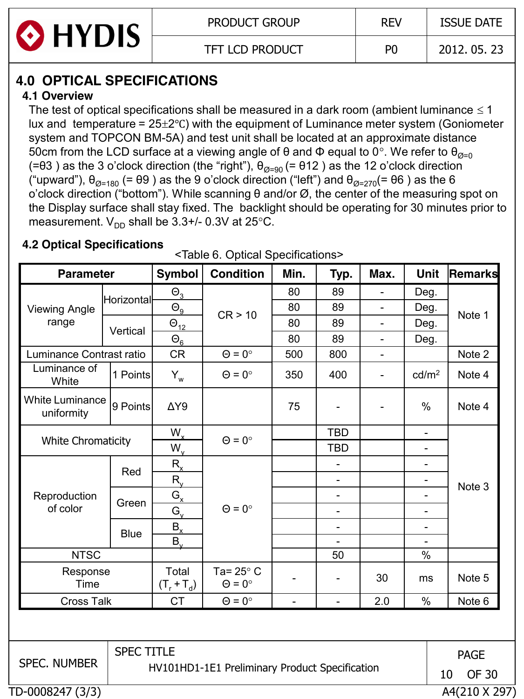

# **4.0 OPTICAL SPECIFICATIONS**

### **4.1 Overview**

The test of optical specifications shall be measured in a dark room (ambient luminance  $\leq 1$ ) lux and temperature =  $25\pm2$ °C) with the equipment of Luminance meter system (Goniometer system and TOPCON BM-5A) and test unit shall be located at an approximate distance 50cm from the LCD surface at a viewing angle of θ and Φ equal to 0°. We refer to  $θ_{Ø=0}$ (= $\theta$ 3) as the 3 o'clock direction (the "right"),  $\theta_{\text{Q=90}}$  (=  $\theta$ 12) as the 12 o'clock direction ("upward"),  $\theta_{\emptyset=180}$  (= θ9) as the 9 o'clock direction ("left") and  $\theta_{\emptyset=270}$ (= θ6) as the 6 o'clock direction ("bottom"). While scanning θ and/or Ø, the center of the measuring spot on the Display surface shall stay fixed. The backlight should be operating for 30 minutes prior to measurement.  $V_{DD}$  shall be 3.3+/- 0.3V at 25 $^{\circ}$ C.

### **4.2 Optical Specifications**

|  |  | <table 6.="" optical="" specifications=""></table> |  |
|--|--|----------------------------------------------------|--|
|--|--|----------------------------------------------------|--|

| <b>Parameter</b>                     |                   | <b>Symbol</b>            | <b>Condition</b>                               | Min.                     | Typ.                         | Max.                     | <b>Unit</b>              | Remarks            |
|--------------------------------------|-------------------|--------------------------|------------------------------------------------|--------------------------|------------------------------|--------------------------|--------------------------|--------------------|
|                                      |                   | $\Theta_{3}$             |                                                | 80                       | 89                           | $\overline{\phantom{0}}$ | Deg.                     |                    |
| <b>Viewing Angle</b>                 | <b>Horizontal</b> | $\Theta_{\underline{9}}$ |                                                | 80                       | 89                           | $\blacksquare$           | Deg.                     |                    |
| range                                |                   | $\Theta_{12}$            | CR > 10                                        | 80                       | 89                           | $\blacksquare$           | Deg.                     | Note 1             |
|                                      | Vertical          | $\Theta_6$               |                                                | 80                       | 89                           | $\qquad \qquad -$        | Deg.                     |                    |
| Luminance Contrast ratio             |                   | <b>CR</b>                | $\Theta = 0^{\circ}$                           | 500                      | 800                          | ۰                        |                          | Note 2             |
| Luminance of<br>White                | 1 Points          | $Y_w$                    | $\Theta = 0^{\circ}$                           | 350                      | 400                          | $\overline{\phantom{a}}$ | cd/m <sup>2</sup>        | Note 4             |
| <b>White Luminance</b><br>uniformity | 9 Points          | $\Delta Y9$              |                                                | 75                       |                              |                          | %                        | Note 4             |
|                                      |                   | $W_{x}$                  |                                                |                          | <b>TBD</b>                   |                          | $\blacksquare$           |                    |
| <b>White Chromaticity</b>            |                   | $W_{V}$                  | $\Theta = 0^{\circ}$                           |                          | <b>TBD</b>                   |                          | $\overline{\phantom{0}}$ |                    |
|                                      |                   | $R_{x}$                  |                                                |                          |                              |                          | $\overline{\phantom{0}}$ | Note 3             |
|                                      | Red               | $R_{v}$                  |                                                |                          | $\blacksquare$               |                          | $\overline{\phantom{0}}$ |                    |
| Reproduction                         |                   | $G_{x}$                  |                                                |                          | $\qquad \qquad \blacksquare$ |                          | -                        |                    |
| of color                             | Green             | $G_{V}$                  | $\Theta = 0^{\circ}$                           |                          | $\qquad \qquad -$            |                          | -                        |                    |
|                                      | <b>Blue</b>       | $B_{x}$                  |                                                |                          | $\overline{\phantom{a}}$     |                          | $\overline{\phantom{0}}$ |                    |
|                                      |                   | $B_{\rm v}$              |                                                |                          |                              |                          |                          |                    |
| <b>NTSC</b>                          |                   |                          |                                                |                          | 50                           |                          | $\%$                     |                    |
| Response<br>Time                     |                   | Total<br>$(T_r + T_d)$   | Ta= $25^\circ$ C<br>$\Theta = 0^{\circ}$       |                          |                              | 30                       | ms                       | Note 5             |
| <b>Cross Talk</b>                    |                   | <b>CT</b>                | $\Theta = 0^{\circ}$                           | $\overline{\phantom{a}}$ | ÷,                           | 2.0                      | %                        | Note 6             |
|                                      |                   |                          |                                                |                          |                              |                          |                          |                    |
| <b>SPEC. NUMBER</b>                  | <b>SPEC TITLE</b> |                          |                                                |                          |                              |                          |                          | <b>PAGE</b>        |
|                                      |                   |                          | HV101HD1-1E1 Preliminary Product Specification |                          |                              |                          |                          | <b>OF 30</b><br>10 |
| TD-0008247 (3/3)                     |                   |                          |                                                |                          |                              |                          |                          | A4(210 X 297)      |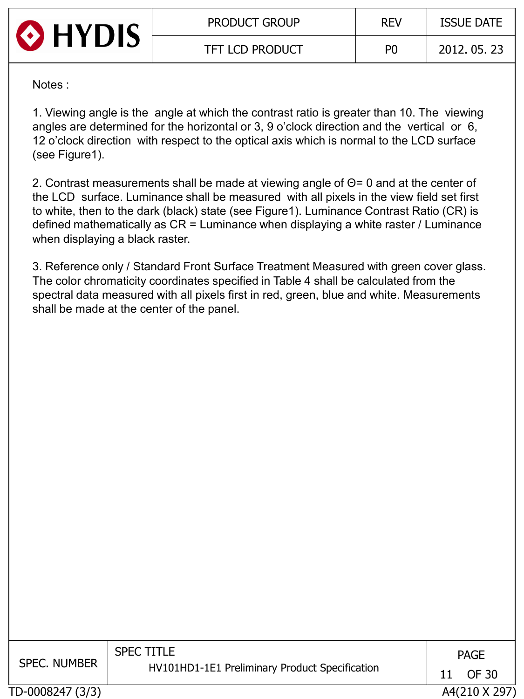

Notes :

1. Viewing angle is the angle at which the contrast ratio is greater than 10. The viewing angles are determined for the horizontal or 3, 9 o'clock direction and the vertical or 6, 12 o'clock direction with respect to the optical axis which is normal to the LCD surface (see Figure1).

2. Contrast measurements shall be made at viewing angle of Θ= 0 and at the center of the LCD surface. Luminance shall be measured with all pixels in the view field set first to white, then to the dark (black) state (see Figure1). Luminance Contrast Ratio (CR) is defined mathematically as CR = Luminance when displaying a white raster / Luminance when displaying a black raster.

3. Reference only / Standard Front Surface Treatment Measured with green cover glass. The color chromaticity coordinates specified in Table 4 shall be calculated from the spectral data measured with all pixels first in red, green, blue and white. Measurements shall be made at the center of the panel.

| <b>SPEC. NUMBER</b> | <b>SPEC TITLE</b><br>HV101HD1-1E1 Preliminary Product Specification | 11 | <b>PAGE</b><br>OF 30 |
|---------------------|---------------------------------------------------------------------|----|----------------------|
| TD-0008247 (3/3)    |                                                                     |    | A4(210 X 297)        |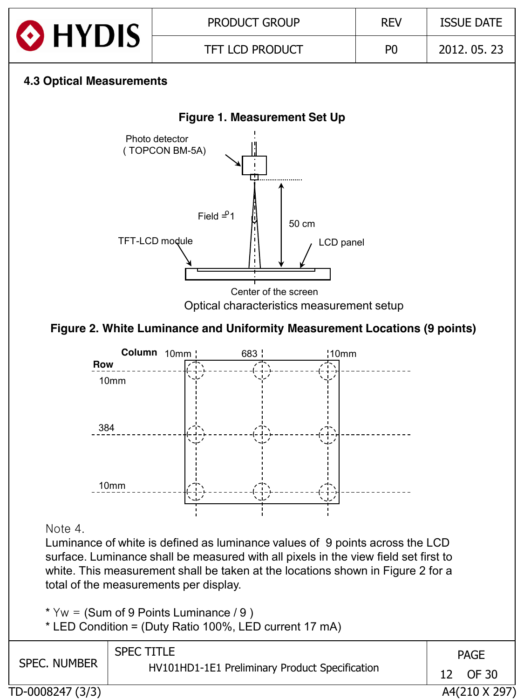

\*  $Yw = (Sum of 9 Points Luminance / 9)$ 

\* LED Condition = (Duty Ratio 100%, LED current 17 mA)

| <b>SPEC. NUMBER</b> | <b>SPEC TITLE</b>                              |     | <b>PAGE</b>   |  |
|---------------------|------------------------------------------------|-----|---------------|--|
|                     | HV101HD1-1E1 Preliminary Product Specification | 12. | OF 30         |  |
| TD-0008247 (3/3)    |                                                |     | A4(210 X 297) |  |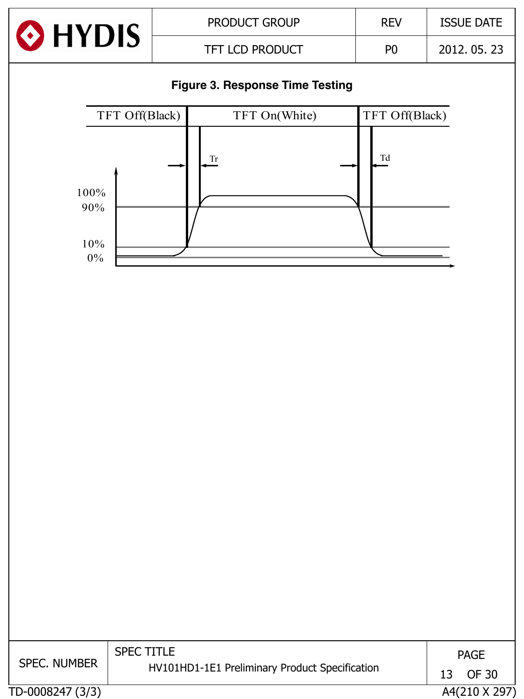

### **Figure 3. Response Time Testing**



| <b>SPEC. NUMBER</b> | <b>SPEC TITLE</b><br>HV101HD1-1E1 Preliminary Product Specification | 13. | <b>PAGE</b><br>OF 30 |
|---------------------|---------------------------------------------------------------------|-----|----------------------|
|                     |                                                                     |     |                      |
| TD-0008247 (3/3)    |                                                                     |     | A4(210 X 297)        |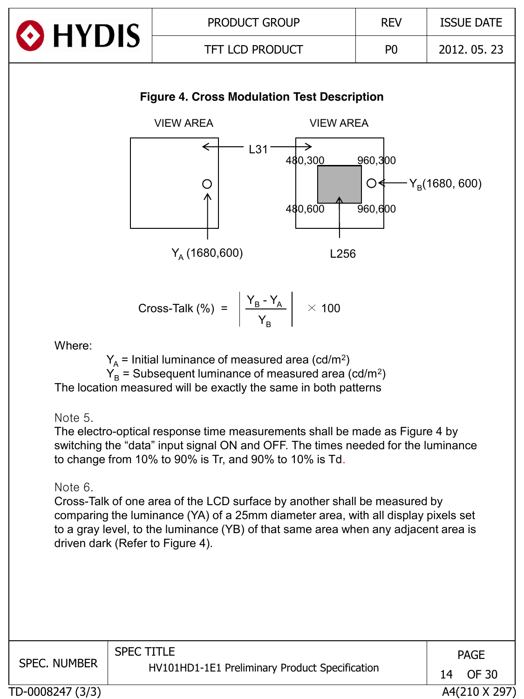

#### **Figure 4. Cross Modulation Test Description**



Cross-Talk (%) = 
$$
\left| \frac{Y_B - Y_A}{Y_B} \right| \times 100
$$

Where:

 $Y_{\text{A}}$  = Initial luminance of measured area (cd/m<sup>2</sup>)  $Y_B$  = Subsequent luminance of measured area (cd/m<sup>2</sup>)

The location measured will be exactly the same in both patterns

Note 5.

The electro-optical response time measurements shall be made as Figure 4 by switching the "data" input signal ON and OFF. The times needed for the luminance to change from 10% to 90% is Tr, and 90% to 10% is Td.

Note 6.

Cross-Talk of one area of the LCD surface by another shall be measured by comparing the luminance (YA) of a 25mm diameter area, with all display pixels set to a gray level, to the luminance (YB) of that same area when any adjacent area is driven dark (Refer to Figure 4).

| <b>SPEC. NUMBER</b> | <b>SPEC TITLE</b><br>HV101HD1-1E1 Preliminary Product Specification | 14 | <b>PAGE</b><br>OF 30 |
|---------------------|---------------------------------------------------------------------|----|----------------------|
| TD-0008247 (3/3)    |                                                                     |    | A4(210 X 297)        |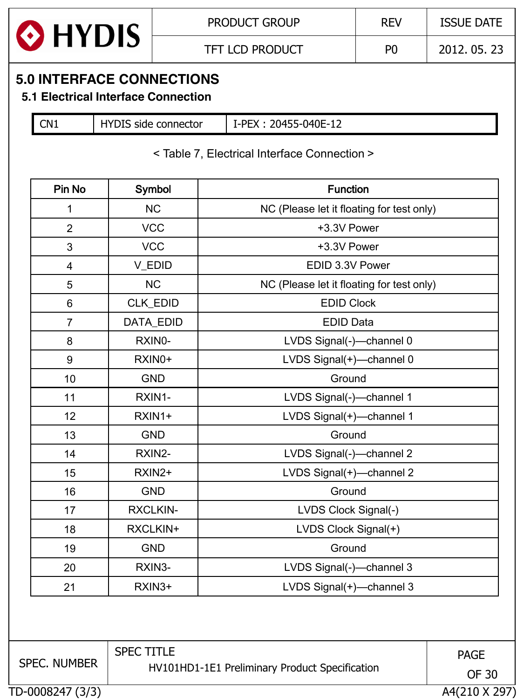

### **5.0 INTERFACE CONNECTIONS**

### **5.1 Electrical Interface Connection**

CN1 | HYDIS side connector | I-PEX : 20455-040E-12

#### < Table 7, Electrical Interface Connection >

| Pin No                  | Symbol          | <b>Function</b>                           |  |  |  |  |  |
|-------------------------|-----------------|-------------------------------------------|--|--|--|--|--|
| 1                       | <b>NC</b>       | NC (Please let it floating for test only) |  |  |  |  |  |
| $\overline{2}$          | <b>VCC</b>      | +3.3V Power                               |  |  |  |  |  |
| 3                       | <b>VCC</b>      | +3.3V Power                               |  |  |  |  |  |
| $\overline{\mathbf{4}}$ | V_EDID          | EDID 3.3V Power                           |  |  |  |  |  |
| 5                       | NC              | NC (Please let it floating for test only) |  |  |  |  |  |
| $\,6\,$                 | CLK_EDID        | <b>EDID Clock</b>                         |  |  |  |  |  |
| $\overline{7}$          | DATA_EDID       | <b>EDID Data</b>                          |  |  |  |  |  |
| 8                       | RXIN0-          | LVDS Signal(-)-channel 0                  |  |  |  |  |  |
| 9                       | RXIN0+          | LVDS Signal(+)-channel 0                  |  |  |  |  |  |
| 10                      | <b>GND</b>      | Ground                                    |  |  |  |  |  |
| 11                      | RXIN1-          | LVDS Signal(-)-channel 1                  |  |  |  |  |  |
| 12                      | RXIN1+          | LVDS Signal(+)-channel 1                  |  |  |  |  |  |
| 13                      | <b>GND</b>      | Ground                                    |  |  |  |  |  |
| 14                      | RXIN2-          | LVDS Signal(-)-channel 2                  |  |  |  |  |  |
| 15                      | RXIN2+          | LVDS Signal(+)-channel 2                  |  |  |  |  |  |
| 16                      | <b>GND</b>      | Ground                                    |  |  |  |  |  |
| 17                      | <b>RXCLKIN-</b> | LVDS Clock Signal(-)                      |  |  |  |  |  |
| 18                      | RXCLKIN+        | LVDS Clock Signal(+)                      |  |  |  |  |  |
| 19                      | <b>GND</b>      | Ground                                    |  |  |  |  |  |
| 20                      | RXIN3-          | LVDS Signal(-)-channel 3                  |  |  |  |  |  |
| 21                      | RXIN3+          | LVDS Signal(+)-channel 3                  |  |  |  |  |  |

TD-0008247 (3/3) A4(210 X 297) SPEC. NUMBER SPEC TITLE HV101HD1-1E1 Preliminary Product Specification PAGE OF 30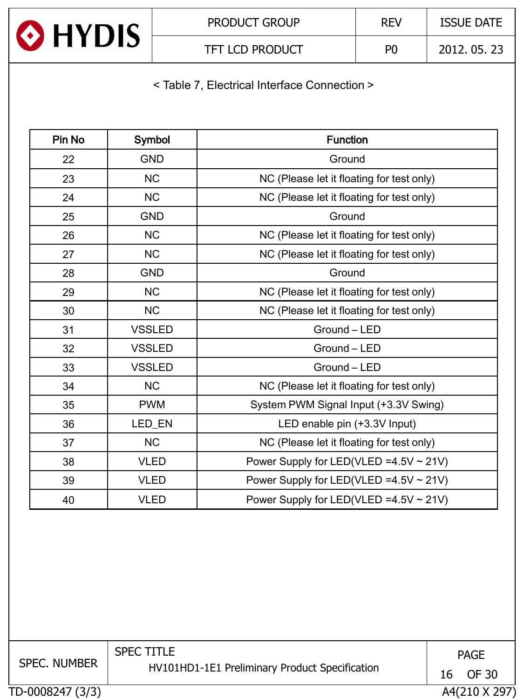

< Table 7, Electrical Interface Connection >

| Pin No | Symbol        | <b>Function</b>                           |
|--------|---------------|-------------------------------------------|
| 22     | <b>GND</b>    | Ground                                    |
| 23     | <b>NC</b>     | NC (Please let it floating for test only) |
| 24     | <b>NC</b>     | NC (Please let it floating for test only) |
| 25     | <b>GND</b>    | Ground                                    |
| 26     | <b>NC</b>     | NC (Please let it floating for test only) |
| 27     | <b>NC</b>     | NC (Please let it floating for test only) |
| 28     | <b>GND</b>    | Ground                                    |
| 29     | <b>NC</b>     | NC (Please let it floating for test only) |
| 30     | <b>NC</b>     | NC (Please let it floating for test only) |
| 31     | <b>VSSLED</b> | Ground - LED                              |
| 32     | <b>VSSLED</b> | Ground - LED                              |
| 33     | <b>VSSLED</b> | Ground - LED                              |
| 34     | <b>NC</b>     | NC (Please let it floating for test only) |
| 35     | <b>PWM</b>    | System PWM Signal Input (+3.3V Swing)     |
| 36     | LED_EN        | LED enable pin (+3.3V Input)              |
| 37     | <b>NC</b>     | NC (Please let it floating for test only) |
| 38     | <b>VLED</b>   | Power Supply for LED(VLED = 4.5 V ~ 21 V) |
| 39     | <b>VLED</b>   | Power Supply for LED(VLED = 4.5 V ~ 21 V) |
| 40     | <b>VLED</b>   | Power Supply for LED(VLED = 4.5 V ~ 21 V) |

TD-0008247 (3/3) A4(210 X 297) SPEC. NUMBER SPEC TITLE HV101HD1-1E1 Preliminary Product Specification PAGE OF 30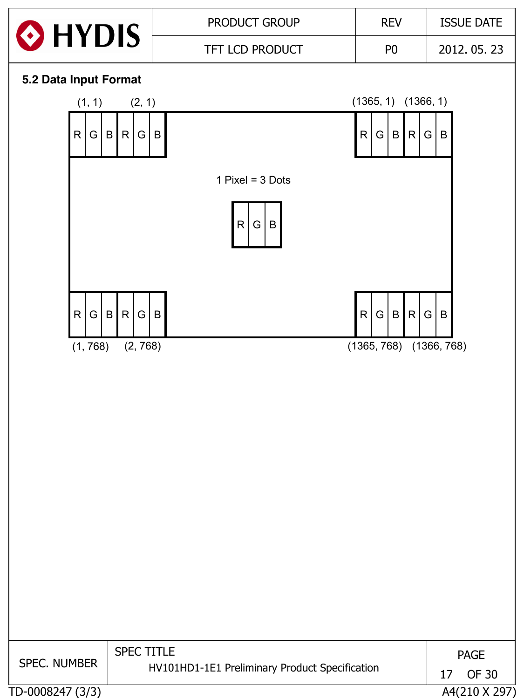|                       |                                                        | PRODUCT GROUP                                  | <b>REV</b>                                | <b>ISSUE DATE</b>                   |
|-----------------------|--------------------------------------------------------|------------------------------------------------|-------------------------------------------|-------------------------------------|
| HYDIS                 |                                                        | TFT LCD PRODUCT                                | P <sub>0</sub>                            | 2012.05.23                          |
| 5.2 Data Input Format |                                                        |                                                |                                           |                                     |
| (1, 1)                | (2, 1)                                                 |                                                | $(1365, 1)$ $(1366, 1)$                   |                                     |
| R<br>G                | $\mathsf{B}$<br>$\vert G \vert$<br>$\overline{B}$<br>R |                                                | R<br>$\vert G \vert$<br>B<br>R            | $\vert G \vert$<br>B                |
|                       |                                                        | 1 Pixel = $3$ Dots                             |                                           |                                     |
|                       |                                                        | $\mathsf{R}$<br>G<br>B                         |                                           |                                     |
| G<br>R                | $\mathsf B$<br>G B<br>R                                |                                                | R<br>$\vert G \vert$<br>$\mathsf{B}$<br>R | $\vert G \vert$<br>$\, {\bf B}$     |
| (1, 768)              | (2, 768)                                               |                                                | $(1365, 768)$ $(1366, 768)$               |                                     |
|                       |                                                        |                                                |                                           |                                     |
|                       |                                                        |                                                |                                           |                                     |
|                       |                                                        |                                                |                                           |                                     |
|                       |                                                        |                                                |                                           |                                     |
|                       |                                                        |                                                |                                           |                                     |
| <b>SPEC. NUMBER</b>   | <b>SPEC TITLE</b>                                      |                                                |                                           | <b>PAGE</b>                         |
| TD-0008247 (3/3)      |                                                        | HV101HD1-1E1 Preliminary Product Specification |                                           | <b>OF 30</b><br>17<br>A4(210 X 297) |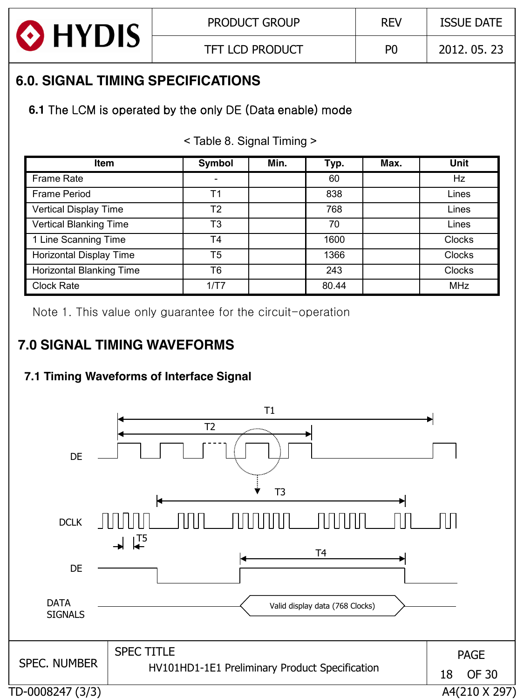

# **6.0. SIGNAL TIMING SPECIFICATIONS**

## **6.1** The LCM is operated by the only DE (Data enable) mode

< Table 8. Signal Timing >

| <b>Item</b>                     | <b>Symbol</b>  | Min. | Typ.  | Max. | Unit          |
|---------------------------------|----------------|------|-------|------|---------------|
| <b>Frame Rate</b>               |                |      | 60    |      | Hz            |
| Frame Period                    | Τ1             |      | 838   |      | Lines         |
| Vertical Display Time           | T <sub>2</sub> |      | 768   |      | Lines         |
| <b>Vertical Blanking Time</b>   | T <sub>3</sub> |      | 70    |      | Lines         |
| 1 Line Scanning Time            | T <sub>4</sub> |      | 1600  |      | <b>Clocks</b> |
| Horizontal Display Time         | T <sub>5</sub> |      | 1366  |      | <b>Clocks</b> |
| <b>Horizontal Blanking Time</b> | T6             |      | 243   |      | <b>Clocks</b> |
| <b>Clock Rate</b>               | 1/T7           |      | 80.44 |      | <b>MHz</b>    |

Note 1. This value only guarantee for the circuit-operation

# **7.0 SIGNAL TIMING WAVEFORMS**

## **7.1 Timing Waveforms of Interface Signal**

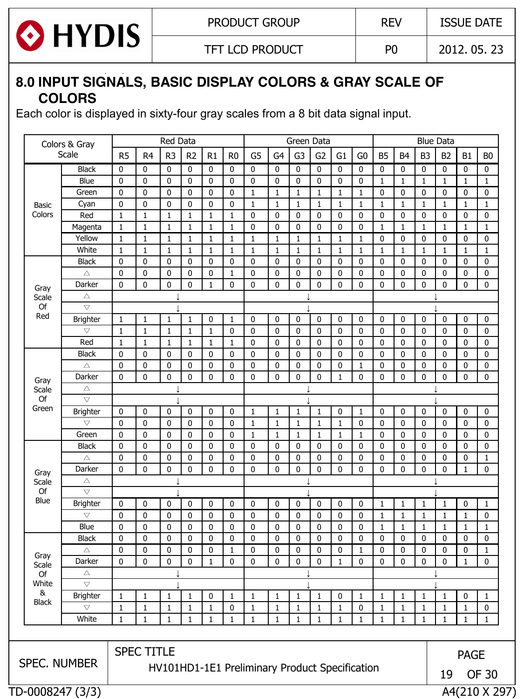

TFT LCD PRODUCT  $\vert$  P0  $\vert$  2012. 05. 23

## **8.0 INPUT SIGNALS, BASIC DISPLAY COLORS & GRAY SCALE OF COLORS**

Each color is displayed in sixty-four gray scales from a 8 bit data signal input.

|                                                                      | Colors & Gray      | Red Data<br>Green Data<br><b>Blue Data</b> |                   |                |                |              |                |                |                |                |                |                |                |              |                |                |                |               |                |
|----------------------------------------------------------------------|--------------------|--------------------------------------------|-------------------|----------------|----------------|--------------|----------------|----------------|----------------|----------------|----------------|----------------|----------------|--------------|----------------|----------------|----------------|---------------|----------------|
|                                                                      | Scale              | R <sub>5</sub>                             | R <sub>4</sub>    | R <sub>3</sub> | R <sub>2</sub> | R1           | R <sub>0</sub> | G <sub>5</sub> | G <sub>4</sub> | G <sub>3</sub> | G <sub>2</sub> | G <sub>1</sub> | G <sub>0</sub> | <b>B5</b>    | B <sub>4</sub> | B <sub>3</sub> | B <sub>2</sub> | <b>B1</b>     | B <sub>0</sub> |
|                                                                      | <b>Black</b>       | 0                                          | 0                 | 0              | 0              | 0            | 0              | 0              | 0              | 0              | 0              | 0              | 0              | 0            | 0              | 0              | 0              | 0             | 0              |
|                                                                      | Blue               | 0                                          | 0                 | 0              | 0              | 0            | 0              | 0              | 0              | 0              | 0              | 0              | 0              | 1            | 1              | 1              | 1              | $\mathbf{1}$  | 1              |
|                                                                      | Green              | 0                                          | 0                 | 0              | 0              | 0            | 0              | 1              | 1              | 1              | 1              | 1              | 1              | 0            | 0              | 0              | 0              | 0             | 0              |
| Basic                                                                | Cyan               | 0                                          | 0                 | 0              | 0              | 0            | 0              | 1              | 1              | 1              | $\mathbf{1}$   | 1              | 1              | $\mathbf{1}$ | 1              | 1              | 1              | $\mathbf{1}$  | 1              |
| Colors                                                               | Red                | $\mathbf{1}$                               | 1                 | 1              | 1              | 1            | $\mathbf{1}$   | $\mathbf{0}$   | 0              | 0              | 0              | 0              | 0              | $\mathbf 0$  | 0              | 0              | 0              | 0             | 0              |
|                                                                      | Magenta            | 1                                          | 1                 | 1              | 1              | 1            | 1              | 0              | 0              | 0              | 0              | 0              | 0              | 1            | 1              | 1              | 1              | $\mathbf{1}$  | 1              |
|                                                                      | Yellow             | 1                                          | 1                 | 1              | 1              | 1            | $\mathbf{1}$   | 1              | 1              | $\mathbf{1}$   | 1              | 1              | 1              | $\mathbf 0$  | 0              | 0              | 0              | 0             | 0              |
|                                                                      | White              | $\mathbf{1}$                               | 1                 | 1              | 1              | 1            | $\mathbf{1}$   | 1              | 1              | 1              | 1              | 1              | 1              | 1            | 1              | 1              | 1              | $\mathbf{1}$  | 1              |
|                                                                      | <b>Black</b>       | 0                                          | 0                 | 0              | 0              | 0            | 0              | 0              | 0              | 0              | 0              | 0              | 0              | $\mathbf 0$  | 0              | 0              | 0              | 0             | 0              |
|                                                                      | $\triangle$        | $\bf{0}$                                   | 0                 | 0              | 0              | 0            | $\mathbf{1}$   | 0              | 0              | 0              | 0              | 0              | 0              | $\bf{0}$     | 0              | $\bf{0}$       | 0              | $\bf 0$       | 0              |
|                                                                      | Darker             | $\mathbf 0$                                | 0                 | 0              | 0              | 1            | 0              | 0              | 0              | $\bf{0}$       | 0              | 0              | 0              | $\mathbf 0$  | $\mathbf 0$    | $\bf{0}$       | 0              | $\mathbf 0$   | 0              |
| Gray<br>Scale                                                        | $\triangle$        |                                            |                   |                |                |              |                |                |                |                |                |                |                |              |                |                |                |               |                |
| Of                                                                   | $\bigtriangledown$ |                                            |                   |                |                |              |                |                |                |                |                |                |                |              |                |                |                |               |                |
| Red                                                                  | <b>Brighter</b>    | 1                                          | $\mathbf{1}$      | $\mathbf{1}$   | 1              | 0            | 1              | 0              | $\pmb{0}$      | $\mathbf 0$    | 0              | 0              | 0              | 0            | 0              | $\mathbf 0$    | 0              | 0             | 0              |
|                                                                      | $\bigtriangledown$ | $\mathbf{1}$                               | 1                 | 1              | 1              | 1            | 0              | 0              | 0              | 0              | 0              | 0              | 0              | 0            | 0              | $\bf{0}$       | 0              | $\mathbf 0$   | 0              |
|                                                                      | Red                | $\mathbf{1}$                               | 1                 | 1              | 1              | 1            | $\mathbf{1}$   | 0              | 0              | 0              | 0              | 0              | 0              | 0            | 0              | 0              | 0              | 0             | 0              |
|                                                                      | <b>Black</b>       | 0                                          | 0                 | 0              | 0              | 0            | 0              | $\mathbf 0$    | 0              | 0              | 0              | 0              | 0              | 0            | 0              | $\mathbf 0$    | 0              | $\bf 0$       | 0              |
|                                                                      | $\triangle$        | 0                                          | 0                 | 0              | 0              | 0            | 0              | 0              | 0              | $\bf{0}$       | 0              | 0              | 1              | 0            | 0              | $\mathbf 0$    | 0              | 0             | 0              |
| Gray                                                                 | Darker             | 0                                          | 0                 | 0              | 0              | 0            | 0              | 0              | $\mathbf 0$    | $\bf{0}$       | 0              | 1              | 0              | $\bf{0}$     | 0              | $\mathbf 0$    | $\mathbf 0$    | $\mathbf 0$   | 0              |
| Scale                                                                | Δ                  |                                            |                   |                |                |              |                |                |                |                |                |                |                |              |                |                |                |               |                |
| Of                                                                   | $\bigtriangledown$ |                                            |                   |                |                |              |                |                |                |                |                |                |                |              |                |                |                |               |                |
| Green                                                                | <b>Brighter</b>    | 0                                          | 0                 | 0              | 0              | 0            | 0              | $\mathbf{1}$   | $\mathbf{1}$   | $\mathbf{1}$   | 1              | 0              | 1              | $\mathbf 0$  | 0              | $\pmb{0}$      | 0              | $\mathbf 0$   | 0              |
|                                                                      | $\bigtriangledown$ | 0                                          | 0                 | $\mathbf 0$    | 0              | 0            | 0              | $\mathbf{1}$   | $\mathbf{1}$   | $\mathbf{1}$   | $\mathbf{1}$   | $\mathbf{1}$   | 0              | $\mathbf 0$  | 0              | $\mathbf 0$    | $\mathbf 0$    | $\mathbf 0$   | 0              |
|                                                                      | Green              | 0                                          | 0                 | 0              | 0              | 0            | 0              | $\mathbf{1}$   | $\mathbf{1}$   | $\mathbf{1}$   | 1              | $\mathbf{1}$   | 1              | $\mathbf 0$  | 0              | $\mathbf 0$    | 0              | $\mathbf 0$   | 0              |
|                                                                      | <b>Black</b>       | 0                                          | 0                 | 0              | 0              | 0            | 0              | 0              | 0              | 0              | 0              | 0              | 0              | 0            | 0              | 0              | 0              | $\mathbf 0$   | 0              |
|                                                                      | Δ                  | 0                                          | 0                 | 0              | 0              | 0            | 0              | 0              | 0              | 0              | 0              | 0              | 0              | 0            | 0              | 0              | 0              | 0             | 1              |
| Gray                                                                 | Darker             | $\mathbf 0$                                | 0                 | 0              | 0              | 0            | $\mathbf 0$    | 0              | $\mathbf 0$    | $\bf{0}$       | 0              | 0              | 0              | $\mathbf 0$  | 0              | $\mathbf 0$    | 0              | $\mathbf{1}$  | 0              |
| Scale                                                                | $\triangle$        |                                            |                   |                |                |              |                |                |                |                |                |                |                |              |                |                |                |               |                |
| Of                                                                   | $\bigtriangledown$ |                                            |                   |                |                |              |                |                |                |                |                |                |                |              |                |                |                |               |                |
| <b>Blue</b>                                                          | <b>Brighter</b>    | 0                                          | 0                 | 0              | 0              | 0            | $\bf{0}$       | 0              | 0              | 0              | 0              | $\mathbf 0$    | 0              | 1            | 1              | 1              | 1              | 0             | $\mathbf{1}$   |
|                                                                      | $\bigtriangledown$ | 0                                          | 0                 | 0              | 0              | 0            | 0              | $\mathbf 0$    | 0              | 0              | 0              | 0              | 0              | $\mathbf{1}$ | 1              | $\mathbf{1}$   | $\mathbf{1}$   | $\mathbf{1}$  | 0              |
|                                                                      | Blue               | 0                                          | 0                 | 0              | 0              | 0            | 0              | $\mathbf 0$    | 0              | 0              | 0              | 0              | 0              | $\mathbf{1}$ | 1              | 1              | 1              | $\mathbf{1}$  | $\mathbf{1}$   |
|                                                                      | <b>Black</b>       | 0                                          | 0                 | 0              | 0              | 0            | 0              | $\mathbf{0}$   | 0              | 0              | 0              | 0              | 0              | $\mathbf 0$  | 0              | $\mathbf 0$    | 0              | $\mathbf 0$   | 0              |
|                                                                      | Δ                  | 0                                          | 0                 | 0              | 0              | 0            | $\mathbf{1}$   | $\mathbf{0}$   | 0              | 0              | 0              | 0              | 1              | $\mathbf 0$  | 0              | $\mathbf 0$    | 0              | 0             | $\mathbf{1}$   |
| Gray<br>Scale                                                        | Darker             | 0                                          | 0                 | 0              | 0              | $\mathbf{1}$ | $\mathbf 0$    | 0              | 0              | 0              | 0              | $\mathbf 1$    | 0              | $\mathbf 0$  | $\mathbf 0$    | $\mathbf 0$    | 0              | $\mathbf{1}$  | 0              |
| Of                                                                   | Δ                  |                                            |                   |                |                |              |                |                |                |                |                |                |                |              |                |                |                |               |                |
| White                                                                | $\overline{\vee}$  |                                            |                   |                |                |              |                |                |                |                |                |                |                |              |                |                |                |               |                |
| &                                                                    | <b>Brighter</b>    | 1                                          | 1                 | 1              | 1              | 0            | 1              | 1              | 1              | 1              | 1              | 0              | 1              | 1            | 1              | 1              | 1              | 0             | 1              |
| <b>Black</b>                                                         | $\bigtriangledown$ | $\mathbf{1}$                               | 1                 | 1              | 1              | 1            | 0              | $\mathbf{1}$   | 1              | $\mathbf{1}$   | 1              | 1              | 0              | $\mathbf{1}$ | $\mathbf{1}$   | $\mathbf{1}$   | 1              | 1             | 0              |
|                                                                      | White              | $\mathbf{1}$                               | 1                 | 1              | 1              | 1            | $\mathbf{1}$   | 1              | 1              | 1              | 1              | 1              | 1              | $\mathbf{1}$ | 1              | 1              | 1              | $\mathbf{1}$  | 1              |
|                                                                      |                    |                                            | <b>SPEC TITLE</b> |                |                |              |                |                |                |                |                |                |                |              |                |                |                | <b>PAGE</b>   |                |
| SPEC. NUMBER<br>HV101HD1-1E1 Preliminary Product Specification<br>19 |                    |                                            |                   |                |                |              |                | <b>OF 30</b>   |                |                |                |                |                |              |                |                |                |               |                |
|                                                                      | TD-0008247 (3/3)   |                                            |                   |                |                |              |                |                |                |                |                |                |                |              |                |                |                | A4(210 X 297) |                |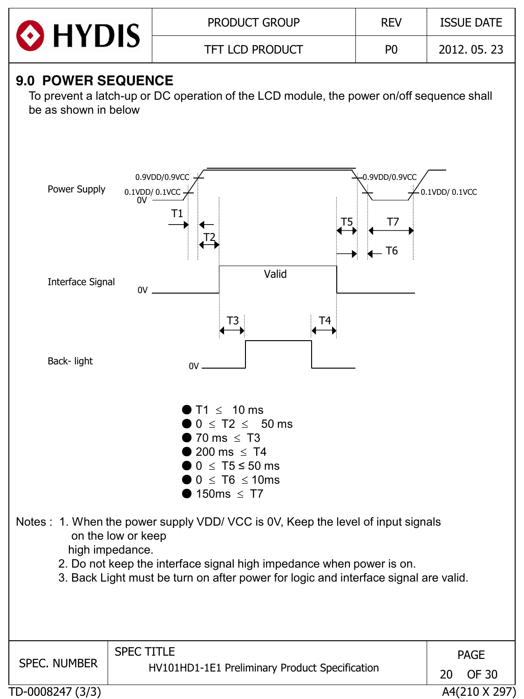

### **9.0 POWER SEQUENCE**

 To prevent a latch-up or DC operation of the LCD module, the power on/off sequence shall be as shown in below



TD-0008247 (3/3) A4(210 X 297)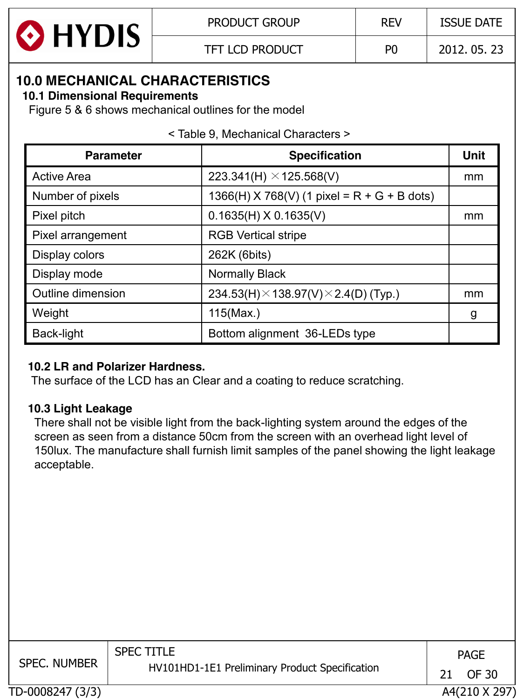

TFT LCD PRODUCT P0 2012. 05. 23

### **10.0 MECHANICAL CHARACTERISTICS**

#### **10.1 Dimensional Requirements**

Figure 5 & 6 shows mechanical outlines for the model

|  |  |  | < Table 9, Mechanical Characters > |  |  |
|--|--|--|------------------------------------|--|--|
|--|--|--|------------------------------------|--|--|

| <b>Parameter</b>   | <b>Specification</b>                                | <b>Unit</b> |
|--------------------|-----------------------------------------------------|-------------|
| <b>Active Area</b> | 223.341(H) $\times$ 125.568(V)                      | mm          |
| Number of pixels   | $1366(H)$ X 768(V) (1 pixel = R + G + B dots)       |             |
| Pixel pitch        | $0.1635(H)$ X 0.1635(V)                             | mm          |
| Pixel arrangement  | <b>RGB Vertical stripe</b>                          |             |
| Display colors     | 262K (6bits)                                        |             |
| Display mode       | <b>Normally Black</b>                               |             |
| Outline dimension  | 234.53(H) $\times$ 138.97(V) $\times$ 2.4(D) (Typ.) | mm          |
| Weight             | 115(Max.)                                           | g           |
| Back-light         | Bottom alignment 36-LEDs type                       |             |

#### **10.2 LR and Polarizer Hardness.**

The surface of the LCD has an Clear and a coating to reduce scratching.

#### **10.3 Light Leakage**

 There shall not be visible light from the back-lighting system around the edges of the screen as seen from a distance 50cm from the screen with an overhead light level of 150lux. The manufacture shall furnish limit samples of the panel showing the light leakage acceptable.

| <b>SPEC. NUMBER</b> | <b>SPEC TITLE</b>                              | <b>PAGE</b>   |  |
|---------------------|------------------------------------------------|---------------|--|
|                     | HV101HD1-1E1 Preliminary Product Specification | OF 30         |  |
| TD-0008247 (3/3)    |                                                | A4(210 X 297) |  |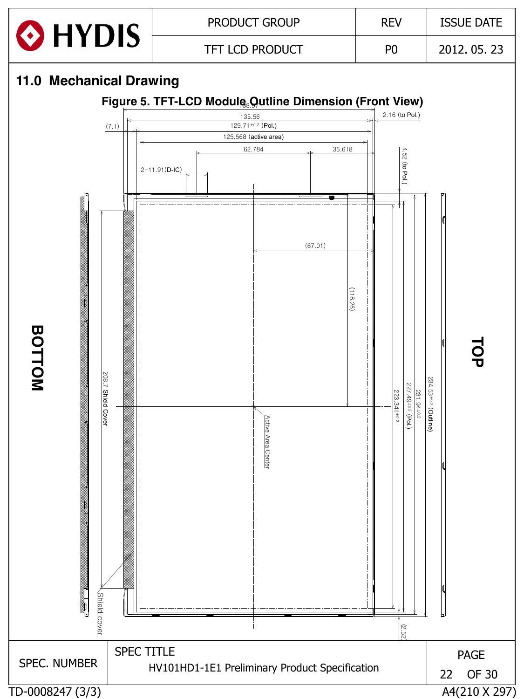

## **11.0 Mechanical Drawing**

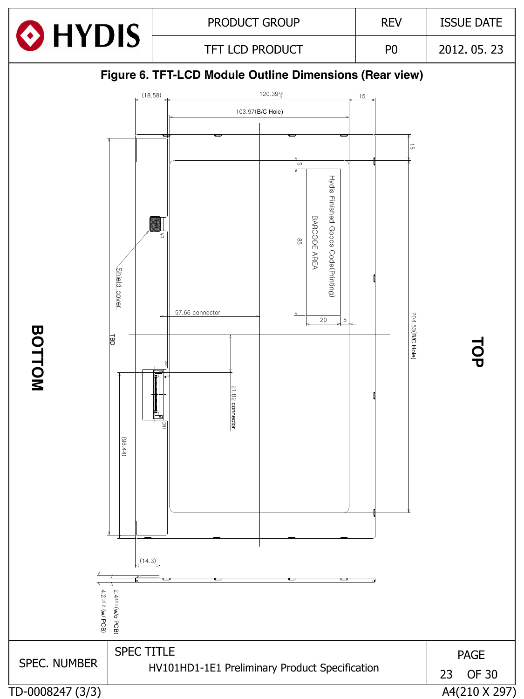



HV101HD1-1E1 Preliminary Product Specification

TD-0008247 (3/3) A4(210 X 297)

SPEC. NUMBER

**BOTTOM**

PAGE 23 OF 30

**TOP**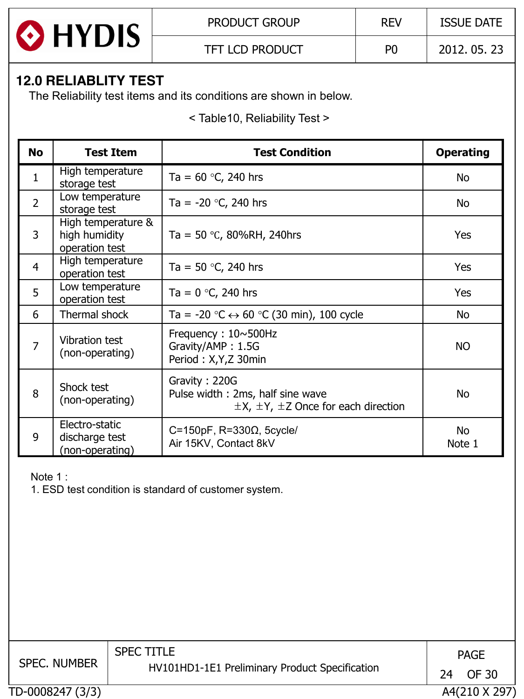

# **12.0 RELIABLITY TEST**

The Reliability test items and its conditions are shown in below.

< Table10, Reliability Test >

| <b>No</b>      | <b>Test Item</b>                                      | <b>Test Condition</b>                                                                                  | <b>Operating</b>    |
|----------------|-------------------------------------------------------|--------------------------------------------------------------------------------------------------------|---------------------|
| $\mathbf{1}$   | High temperature<br>storage test                      | Ta = $60$ °C, 240 hrs                                                                                  | No                  |
| $\overline{2}$ | Low temperature<br>storage test                       | Ta = $-20$ °C, 240 hrs                                                                                 | No                  |
| 3              | High temperature &<br>high humidity<br>operation test | Ta = 50 °C, 80%RH, 240hrs                                                                              | Yes                 |
| $\overline{4}$ | High temperature<br>operation test                    | Ta = 50 $\degree$ C, 240 hrs                                                                           | Yes                 |
| 5              | Low temperature<br>operation test                     | Ta = $0 °C$ , 240 hrs                                                                                  | Yes                 |
| 6              | Thermal shock                                         | Ta = -20 $\degree$ C $\leftrightarrow$ 60 $\degree$ C (30 min), 100 cycle                              | No                  |
| $\overline{7}$ | Vibration test<br>(non-operating)                     | Frequency: $10 \sim 500$ Hz<br>Gravity/AMP: 1.5G<br>Period: X,Y,Z 30min                                | <b>NO</b>           |
| 8              | Shock test<br>(non-operating)                         | Gravity: 220G<br>Pulse width: 2ms, half sine wave<br>$\pm$ X, $\pm$ Y, $\pm$ Z Once for each direction | No                  |
| 9              | Electro-static<br>discharge test<br>(non-operating)   | C=150pF, $R=330\Omega$ , 5cycle/<br>Air 15KV, Contact 8kV                                              | <b>No</b><br>Note 1 |

Note 1 :

1. ESD test condition is standard of customer system.

| <b>SPEC. NUMBER</b> | <b>SPEC TITLE</b><br>HV101HD1-1E1 Preliminary Product Specification | 24 | <b>PAGE</b><br>OF 30 |
|---------------------|---------------------------------------------------------------------|----|----------------------|
| TD-0008247 (3/3)    |                                                                     |    | A4(210 X 297)        |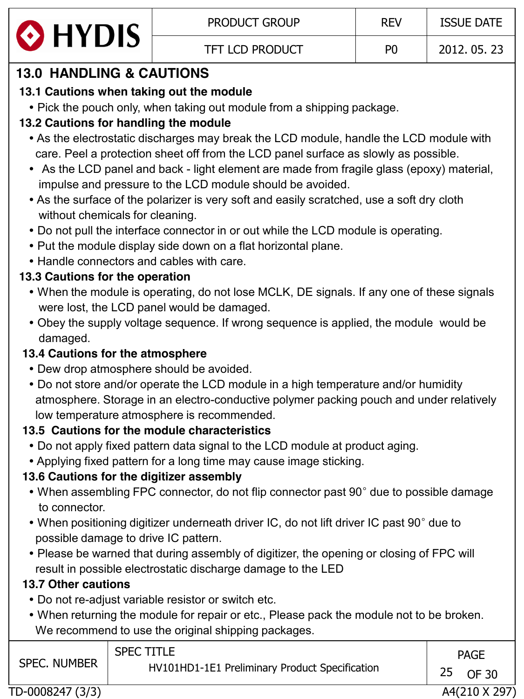

# **13.0 HANDLING & CAUTIONS**

# **13.1 Cautions when taking out the module**

• Pick the pouch only, when taking out module from a shipping package.

# **13.2 Cautions for handling the module**

- As the electrostatic discharges may break the LCD module, handle the LCD module with care. Peel a protection sheet off from the LCD panel surface as slowly as possible.
- As the LCD panel and back light element are made from fragile glass (epoxy) material, impulse and pressure to the LCD module should be avoided.
- As the surface of the polarizer is very soft and easily scratched, use a soft dry cloth without chemicals for cleaning.
- Do not pull the interface connector in or out while the LCD module is operating.
- Put the module display side down on a flat horizontal plane.
- Handle connectors and cables with care.

# **13.3 Cautions for the operation**

- When the module is operating, do not lose MCLK, DE signals. If any one of these signals were lost, the LCD panel would be damaged.
- Obey the supply voltage sequence. If wrong sequence is applied, the module would be damaged.

# **13.4 Cautions for the atmosphere**

- Dew drop atmosphere should be avoided.
- Do not store and/or operate the LCD module in a high temperature and/or humidity atmosphere. Storage in an electro-conductive polymer packing pouch and under relatively low temperature atmosphere is recommended.

# **13.5 Cautions for the module characteristics**

- Do not apply fixed pattern data signal to the LCD module at product aging.
- Applying fixed pattern for a long time may cause image sticking.

# **13.6 Cautions for the digitizer assembly**

- When assembling FPC connector, do not flip connector past 90° due to possible damage to connector.
- When positioning digitizer underneath driver IC, do not lift driver IC past 90° due to possible damage to drive IC pattern.
- Please be warned that during assembly of digitizer, the opening or closing of FPC will result in possible electrostatic discharge damage to the LED

# **13.7 Other cautions**

- Do not re-adjust variable resistor or switch etc.
- When returning the module for repair or etc., Please pack the module not to be broken. We recommend to use the original shipping packages.

| <b>SPEC TITLE</b><br><b>SPEC. NUMBER</b><br>HV101HD1-1E1 Preliminary Product Specification | <b>PAGE</b><br>25 OF 30 |
|--------------------------------------------------------------------------------------------|-------------------------|
|--------------------------------------------------------------------------------------------|-------------------------|

TD-0008247 (3/3) A4(210 X 297)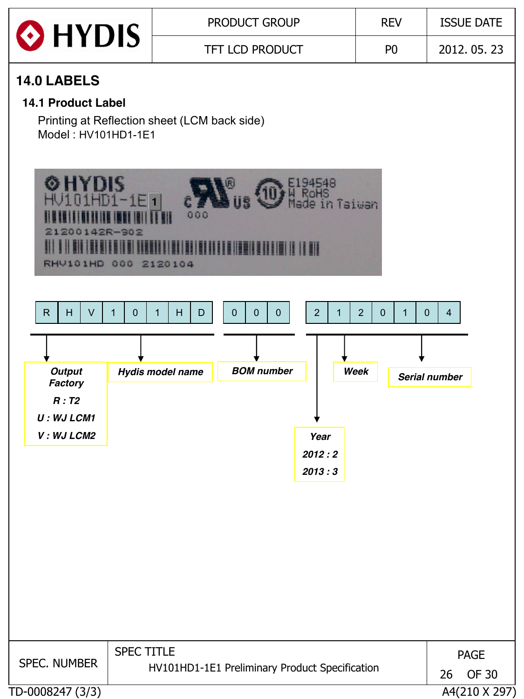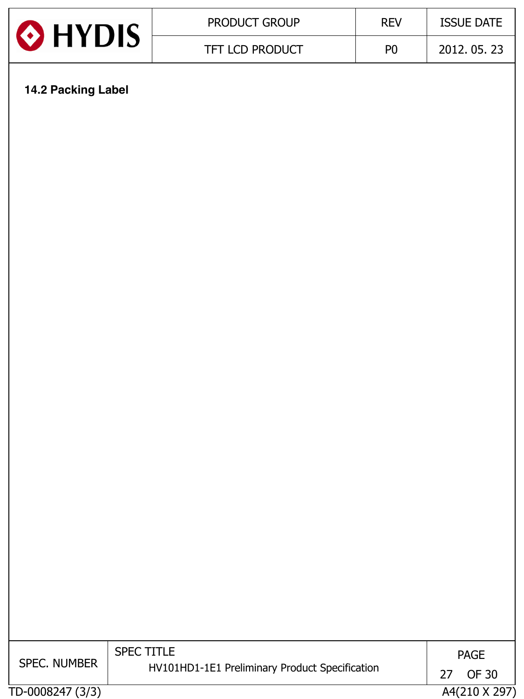| HYDIS | <b>PRODUCT GROUP</b>   | <b>REV</b>     | <b>ISSUE DATE</b> |
|-------|------------------------|----------------|-------------------|
|       | <b>TFT LCD PRODUCT</b> | P <sub>0</sub> | 2012, 05, 23      |

# **14.2 Packing Label**

| <b>SPEC. NUMBER</b> | <b>SPEC TITLE</b><br>HV101HD1-1E1 Preliminary Product Specification | <b>PAGE</b><br>OF 30 |
|---------------------|---------------------------------------------------------------------|----------------------|
| TD-0008247 (3/3)    |                                                                     | A4(210 X 297)        |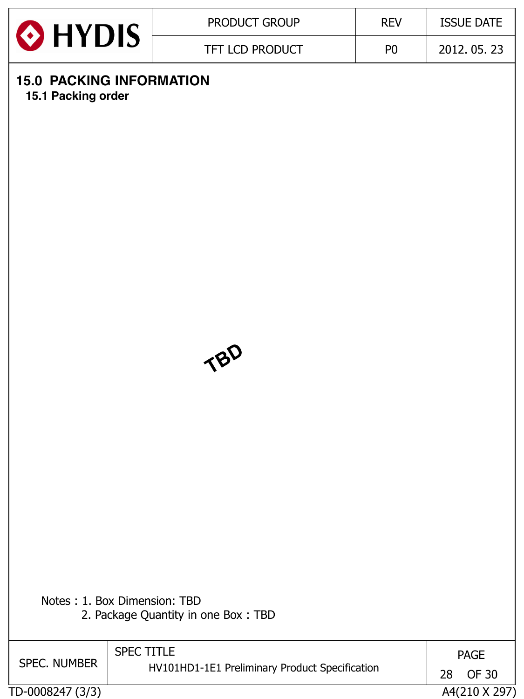

# **15.0 PACKING INFORMATION**

 **15.1 Packing order**



| Notes: 1. Box Dimension: TBD        |  |
|-------------------------------------|--|
| 2. Package Quantity in one Box: TBD |  |

| <b>SPEC. NUMBER</b> | <b>SPEC TITLE</b><br>HV101HD1-1E1 Preliminary Product Specification | <b>PAGE</b><br>28<br>OF 30 |
|---------------------|---------------------------------------------------------------------|----------------------------|
| TD-0008247 (3/3)    |                                                                     | A4(210 X 297)              |